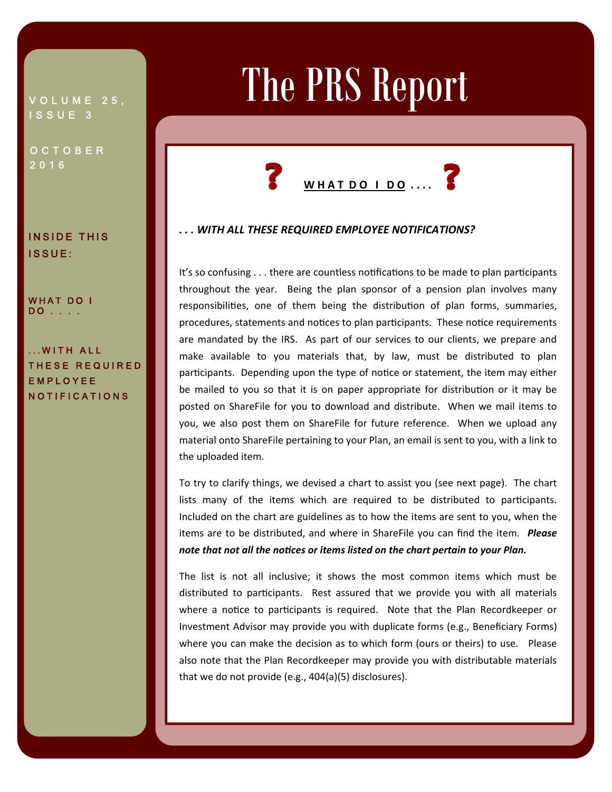## VOLUME 25, ISSUE 3

**OCTOBER** 2016

INSIDE THIS ISSUE:

WHAT DO I DO . . . .

.WITH ALL THESE REQUIRED EMPLOYEE NOTIFICATIONS

# The PRS Report



Ī Ϊ

### *. . . WITH ALL THESE REQUIRED EMPLOYEE NOTIFICATIONS?*

It's so confusing . . . there are countless notifications to be made to plan participants throughout the year. Being the plan sponsor of a pension plan involves many responsibilities, one of them being the distribution of plan forms, summaries, procedures, statements and notices to plan participants. These notice requirements are mandated by the IRS. As part of our services to our clients, we prepare and make available to you materials that, by law, must be distributed to plan participants. Depending upon the type of notice or statement, the item may either be mailed to you so that it is on paper appropriate for distribution or it may be posted on ShareFile for you to download and distribute. When we mail items to you, we also post them on ShareFile for future reference. When we upload any material onto ShareFile pertaining to your Plan, an email is sent to you, with a link to the uploaded item.

To try to clarify things, we devised a chart to assist you (see next page). The chart lists many of the items which are required to be distributed to participants. Included on the chart are guidelines as to how the items are sent to you, when the items are to be distributed, and where in ShareFile you can find the item. *Please note that not all the noƟces or items listed on the chart pertain to your Plan.*

The list is not all inclusive; it shows the most common items which must be distributed to participants. Rest assured that we provide you with all materials where a notice to participants is required. Note that the Plan Recordkeeper or Investment Advisor may provide you with duplicate forms (e.g., Beneficiary Forms) where you can make the decision as to which form (ours or theirs) to use. Please also note that the Plan Recordkeeper may provide you with distributable materials that we do not provide (e.g., 404(a)(5) disclosures).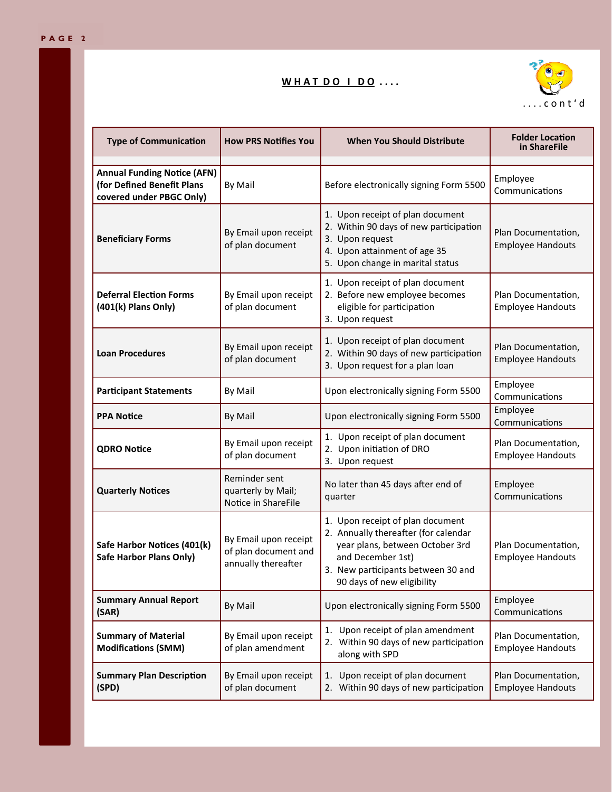## **W H A T D O I D O . . . .**



| <b>Type of Communication</b>                                                                 | <b>How PRS Notifies You</b>                                          | <b>When You Should Distribute</b>                                                                                                                                                                    | <b>Folder Location</b><br>in ShareFile          |
|----------------------------------------------------------------------------------------------|----------------------------------------------------------------------|------------------------------------------------------------------------------------------------------------------------------------------------------------------------------------------------------|-------------------------------------------------|
| <b>Annual Funding Notice (AFN)</b><br>(for Defined Benefit Plans<br>covered under PBGC Only) | By Mail                                                              | Before electronically signing Form 5500                                                                                                                                                              | Employee<br>Communications                      |
| <b>Beneficiary Forms</b>                                                                     | By Email upon receipt<br>of plan document                            | 1. Upon receipt of plan document<br>2. Within 90 days of new participation<br>3. Upon request<br>4. Upon attainment of age 35<br>5. Upon change in marital status                                    | Plan Documentation,<br><b>Employee Handouts</b> |
| <b>Deferral Election Forms</b><br>(401(k) Plans Only)                                        | By Email upon receipt<br>of plan document                            | 1. Upon receipt of plan document<br>2. Before new employee becomes<br>eligible for participation<br>3. Upon request                                                                                  | Plan Documentation,<br><b>Employee Handouts</b> |
| <b>Loan Procedures</b>                                                                       | By Email upon receipt<br>of plan document                            | 1. Upon receipt of plan document<br>2. Within 90 days of new participation<br>3. Upon request for a plan loan                                                                                        | Plan Documentation,<br><b>Employee Handouts</b> |
| <b>Participant Statements</b>                                                                | By Mail                                                              | Upon electronically signing Form 5500                                                                                                                                                                | Employee<br>Communications                      |
| <b>PPA Notice</b>                                                                            | By Mail                                                              | Upon electronically signing Form 5500                                                                                                                                                                | Employee<br>Communications                      |
| <b>QDRO Notice</b>                                                                           | By Email upon receipt<br>of plan document                            | 1. Upon receipt of plan document<br>2. Upon initiation of DRO<br>3. Upon request                                                                                                                     | Plan Documentation,<br><b>Employee Handouts</b> |
| <b>Quarterly Notices</b>                                                                     | Reminder sent<br>quarterly by Mail;<br>Notice in ShareFile           | No later than 45 days after end of<br>quarter                                                                                                                                                        | Employee<br>Communications                      |
| Safe Harbor Notices (401(k)<br><b>Safe Harbor Plans Only)</b>                                | By Email upon receipt<br>of plan document and<br>annually thereafter | 1. Upon receipt of plan document<br>2. Annually thereafter (for calendar<br>year plans, between October 3rd<br>and December 1st)<br>3. New participants between 30 and<br>90 days of new eligibility | Plan Documentation,<br><b>Employee Handouts</b> |
| <b>Summary Annual Report</b><br>(SAR)                                                        | By Mail                                                              | Upon electronically signing Form 5500                                                                                                                                                                | Employee<br>Communications                      |
| <b>Summary of Material</b><br><b>Modifications (SMM)</b>                                     | By Email upon receipt<br>of plan amendment                           | Upon receipt of plan amendment<br>1.<br>2. Within 90 days of new participation<br>along with SPD                                                                                                     | Plan Documentation,<br><b>Employee Handouts</b> |
| <b>Summary Plan Description</b><br>(SPD)                                                     | By Email upon receipt<br>of plan document                            | Upon receipt of plan document<br>1.<br>Within 90 days of new participation<br>2.                                                                                                                     | Plan Documentation,<br><b>Employee Handouts</b> |